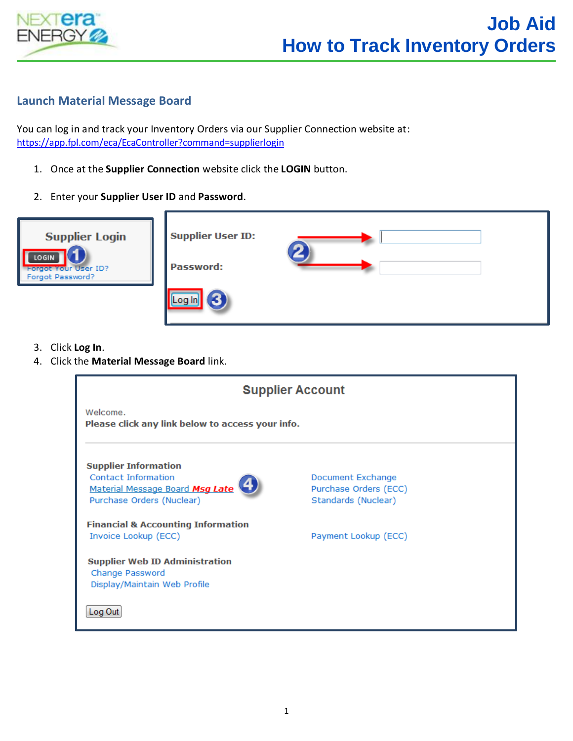

## **Launch Material Message Board**

You can log in and track your Inventory Orders via our Supplier Connection website at: <https://app.fpl.com/eca/EcaController?command=supplierlogin>

- 1. Once at the **Supplier Connection** website click the **LOGIN** button.
- 2. Enter your **Supplier User ID** and **Password**.



- 3. Click **Log In**.
- 4. Click the **Material Message Board** link.

| <b>Supplier Account</b>                                                                                                   |                                                                   |  |  |  |  |
|---------------------------------------------------------------------------------------------------------------------------|-------------------------------------------------------------------|--|--|--|--|
| Welcome.<br>Please click any link below to access your info.                                                              |                                                                   |  |  |  |  |
| <b>Supplier Information</b><br><b>Contact Information</b><br>Material Message Board Msg Late<br>Purchase Orders (Nuclear) | Document Exchange<br>Purchase Orders (ECC)<br>Standards (Nuclear) |  |  |  |  |
| <b>Financial &amp; Accounting Information</b><br>Invoice Lookup (ECC)                                                     | Payment Lookup (ECC)                                              |  |  |  |  |
| <b>Supplier Web ID Administration</b><br>Change Password<br>Display/Maintain Web Profile                                  |                                                                   |  |  |  |  |
| Log Out                                                                                                                   |                                                                   |  |  |  |  |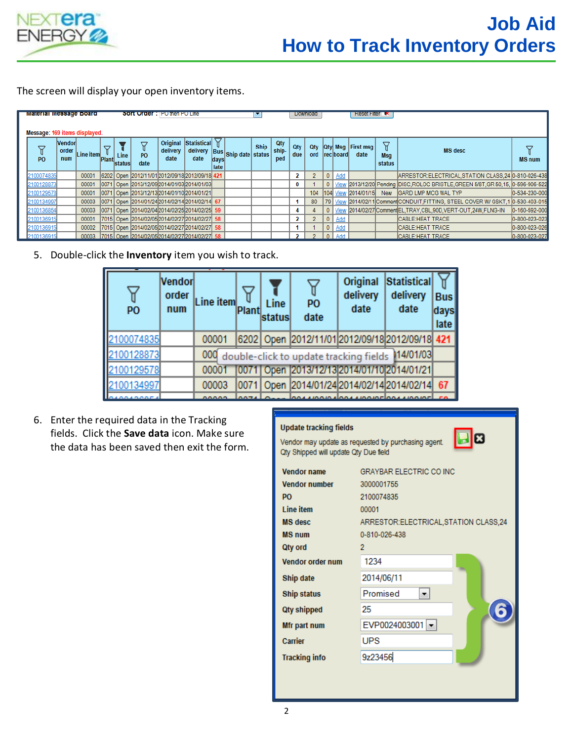

The screen will display your open inventory items.

| <b>Material Message Doard</b><br><b>SOIT ORDER : IPO then PO Line</b><br>Message: 169 items displayed. |            |                               |           |                   |                   |                                                     |                              | <b>Download</b>     |              |                                      | <b>ResetFire K</b> |                     |                   |                |          |                  |                                  |                    |                                                                                       |               |
|--------------------------------------------------------------------------------------------------------|------------|-------------------------------|-----------|-------------------|-------------------|-----------------------------------------------------|------------------------------|---------------------|--------------|--------------------------------------|--------------------|---------------------|-------------------|----------------|----------|------------------|----------------------------------|--------------------|---------------------------------------------------------------------------------------|---------------|
|                                                                                                        | <b>PO</b>  | <b>Vendor</b><br>order<br>num | Line item | 8<br><b>Plant</b> | Line<br>'Istatusl | ▽<br><b>PO</b><br>date                              | Original<br>delivery<br>date | Statistical<br>date | days<br>late | delivery  Bus   Ship date   status / | Ship               | Qty<br>ship-<br>ped | <b>Qty</b><br>due | Qty<br>ord     |          | <b>reciboard</b> | <b>Qty Msg First msg</b><br>date | 7<br>Msg<br>status | <b>MS</b> desc                                                                        | <b>MS</b> num |
|                                                                                                        | 2100074835 |                               | 00001     |                   |                   | 6202 Open 2012/11/01 2012/09/18 2012/09/18 421      |                              |                     |              |                                      |                    |                     | $\mathbf{2}$      | $\overline{2}$ | 0        | Add              |                                  |                    | ARRESTOR: ELECTRICAL, STATION CLASS, 24 0-810-026-438                                 |               |
|                                                                                                        | 2100128873 |                               | 00001     |                   |                   | 0071 Open 2013/12/09 2014/01/03 2014/01/03          |                              |                     |              |                                      |                    |                     | 0                 |                |          |                  |                                  |                    | 0   View 2013/12/20 Pending DISC, ROLOC BRISTLE, GREEN 5/8T, GR 50, 15, 0-596-906-522 |               |
|                                                                                                        | 2100129578 |                               | 00001     |                   |                   | 0071 Open 2013/12/13 2014/01/10 2014/01/21          |                              |                     |              |                                      |                    |                     |                   |                |          |                  |                                  |                    | 104 104 View 2014/01/15 New GARD LMP MCG WAL TYP                                      | 0-534-230-000 |
|                                                                                                        | 2100134997 |                               |           |                   |                   | 00003 0071 Open 2014/01/24 2014/02/14 2014/02/14 67 |                              |                     |              |                                      |                    |                     |                   | 80             |          |                  |                                  |                    | 79   View 2014/02/11 Comment CONDUIT, FITTING, STEEL COVER W/ GSKT, 1 0-530-403-015   |               |
|                                                                                                        | 2100136854 |                               |           |                   |                   | 00003 0071 Open 2014/02/04 2014/02/25 2014/02/25 59 |                              |                     |              |                                      |                    |                     | 4                 |                |          |                  |                                  |                    | 0   View 2014/02/27 Comment EL, TRAY, CBL, 90D, VERT-OUT, 24W, FLNG-IN                | 0-160-592-000 |
|                                                                                                        | 2100136915 |                               | 00001     |                   |                   | 7015 Open 2014/02/05 2014/02/27 2014/02/27 58       |                              |                     |              |                                      |                    |                     | 2                 | $\overline{2}$ | 0        | Add              |                                  |                    | CABLE: HEAT TRACE                                                                     | 0-800-023-023 |
|                                                                                                        | 2100136915 |                               |           |                   |                   | 00002 7015 Open 2014/02/05 2014/02/27 2014/02/27 58 |                              |                     |              |                                      |                    |                     | 1                 |                | 0        | Add              |                                  |                    | <b>CABLE:HEAT TRACE</b>                                                               | 0-800-023-026 |
|                                                                                                        | 2100136915 |                               | 00003     |                   |                   | 7015 Open 2014/02/05 2014/02/27 2014/02/27 58       |                              |                     |              |                                      |                    |                     | 2                 |                | $\Omega$ | Add              |                                  |                    | <b>CABLE:HEAT TRACE</b>                                                               | 0-800-023-027 |

5. Double-click the **Inventory** item you wish to track.

| P <sub>O</sub> | Vendorl<br>order<br>num | Line item | Plant | Line<br>status | PO<br>date                                          | Original<br>delivery<br>date | Statistical<br>delivery<br>date | <b>Bus</b><br>days<br>late |
|----------------|-------------------------|-----------|-------|----------------|-----------------------------------------------------|------------------------------|---------------------------------|----------------------------|
| 2100074835     |                         | 00001     |       |                | 6202 Open 2012/11/01 2012/09/18 2012/09/18 421      |                              |                                 |                            |
| 100128873      |                         |           |       |                | 000 double-click to update tracking fields 14/01/03 |                              |                                 |                            |
| 2100129578     |                         | 00001     |       |                | 0071 Open 2013/12/13 2014/01/10 2014/01/21          |                              |                                 |                            |
| 2100134997     |                         | 00003     |       |                | 0071 Open 2014/01/24 2014/02/14 2014/02/14          |                              |                                 | 67                         |
|                |                         |           |       |                |                                                     |                              |                                 |                            |

6. Enter the required data in the Tracking fields. Click the **Save data** icon. Make sure the data has been saved then exit the form.

## **Update tracking fields**

Vendor may update as requested by purchasing agent. Qty Shipped will update Qty Due field



| <b>Vendor name</b>   | <b>GRAYBAR ELECTRIC CO INC</b>          |  |
|----------------------|-----------------------------------------|--|
| <b>Vendor number</b> | 3000001755                              |  |
| P <sub>O</sub>       | 2100074835                              |  |
| <b>Line item</b>     | 00001                                   |  |
| <b>MS</b> desc       | ARRESTOR: ELECTRICAL, STATION CLASS, 24 |  |
| <b>MS num</b>        | 0-810-026-438                           |  |
| Qty ord              | $\overline{2}$                          |  |
| Vendor order num     | 1234                                    |  |
| Ship date            | 2014/06/11                              |  |
| <b>Ship status</b>   | Promised                                |  |
| <b>Qty shipped</b>   | 25                                      |  |
| Mfr part num         | EVP0024003001 ~                         |  |
| Carrier              | <b>UPS</b>                              |  |
| <b>Tracking info</b> | 9z23456                                 |  |
|                      |                                         |  |
|                      |                                         |  |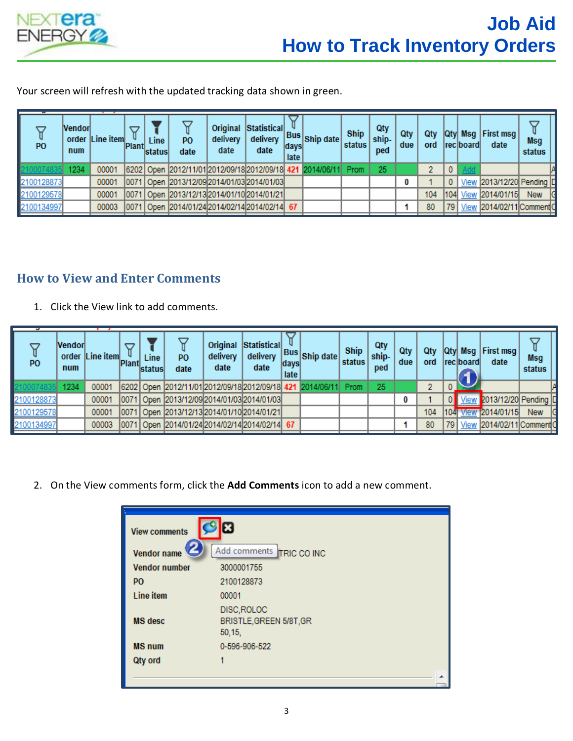

Your screen will refresh with the updated tracking data shown in green.

| P <sub>O</sub> | Nendorl<br>num | order Line item | <b>Plant</b> | Line<br>Istatus | P <sub>0</sub><br>date                                         | Original<br>delivery<br>date | Statistical<br>delivery<br>date | days<br>late | ary Bus Ship date | Ship<br>status | Qty<br>ship-<br>ped | Qty<br>due | Qtv<br>ord | lQtvl    | Msg<br><b>reciboard</b> | <b>First msg</b><br>date  | <b>Msg</b><br>status |
|----------------|----------------|-----------------|--------------|-----------------|----------------------------------------------------------------|------------------------------|---------------------------------|--------------|-------------------|----------------|---------------------|------------|------------|----------|-------------------------|---------------------------|----------------------|
|                | 1234           | 00001           |              |                 | 6202 Open 2012/11/01 2012/09/18 2012/09/18 421 2014/06/11 Prom |                              |                                 |              |                   |                | 25                  |            |            | $\bf{0}$ |                         |                           |                      |
| 2100128873     |                | 00001           | 10071        |                 | Open 2013/12/09 2014/01/03 2014/01/03                          |                              |                                 |              |                   |                |                     | 0          |            | $\bf{0}$ | View                    | 2013/12/20 Pending D      |                      |
| 2100129578     |                | 00001           | 10071        |                 | Open 2013/12/13 2014/01/10 2014/01/21                          |                              |                                 |              |                   |                |                     |            | 104        | 104      |                         | View 2014/01/15           | <b>New</b>           |
| 2100134997     |                | 00003           |              |                 | 0071 Open 2014/01/24 2014/02/14 2014/02/14 67                  |                              |                                 |              |                   |                |                     |            | 80         | 79       |                         | View 2014/02/11 Comment 0 |                      |

## **How to View and Enter Comments**

1. Click the View link to add comments.

| P <sub>O</sub> | <b>Nendorl</b><br>num | order Line item | <b>Plant</b> | Line<br><b>Istatus</b> | PO.<br>date                                                    | Original<br>delivery<br>date | Statistical<br>delivery<br>date | days<br>late | Bus Ship date | <b>Ship</b><br>status | Qty<br>ship-<br>ped | Qty<br>due | Qtv<br>ord | lQtvl | <b>Msa</b><br><b>Ireclboard</b> | <b>First msg</b><br>date | Msg<br>status |  |
|----------------|-----------------------|-----------------|--------------|------------------------|----------------------------------------------------------------|------------------------------|---------------------------------|--------------|---------------|-----------------------|---------------------|------------|------------|-------|---------------------------------|--------------------------|---------------|--|
|                | 234                   | 00001           |              |                        | 6202 Open 2012/11/01 2012/09/18 2012/09/18 421 2014/06/11 Prom |                              |                                 |              |               |                       | 25                  |            |            |       |                                 |                          |               |  |
| 2100128873     |                       | 00001           |              |                        | 0071 Open 2013/12/09 2014/01/03 2014/01/03                     |                              |                                 |              |               |                       |                     | 0          |            |       | View                            | 2013/12/20 Pending ID    |               |  |
| 2100129578     |                       | 00001           |              |                        | Open 2013/12/13 2014/01/10 2014/01/21                          |                              |                                 |              |               |                       |                     |            | 104        | 11041 | View                            | 12014/01/15              | <b>New</b>    |  |
| 2100134997     |                       | 00003           |              |                        | 0071 Open 2014/01/24 2014/02/14 2014/02/14 67                  |                              |                                 |              |               |                       |                     |            | 80         | 79    | View                            | 2014/02/11 Comment C     |               |  |

2. On the View comments form, click the **Add Comments** icon to add a new comment.

| <b>View comments</b> | ⊠                                                |
|----------------------|--------------------------------------------------|
| G<br>Vendor name     | Add comments TRIC CO INC                         |
| <b>Vendor number</b> | 3000001755                                       |
| P <sub>O</sub>       | 2100128873                                       |
| <b>Line item</b>     | 00001                                            |
| <b>MS</b> desc       | DISC, ROLOC<br>BRISTLE, GREEN 5/8T, GR<br>50,15, |
| <b>MS num</b>        | 0-596-906-522                                    |
| Qty ord              |                                                  |
|                      |                                                  |